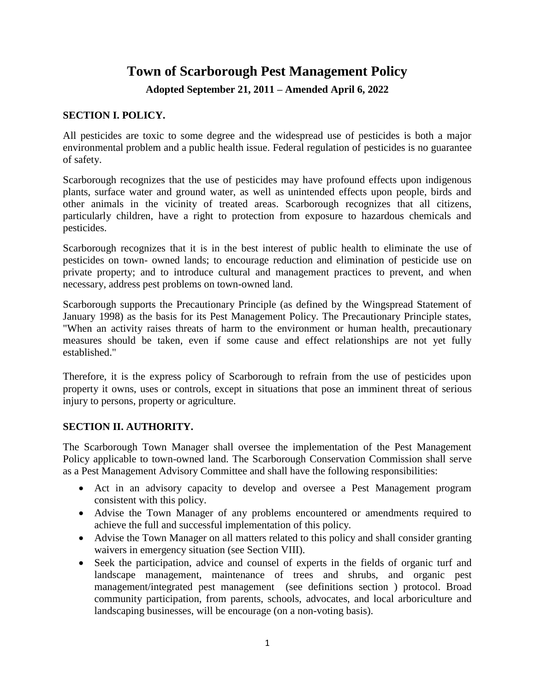# **Town of Scarborough Pest Management Policy**

**Adopted September 21, 2011 – Amended April 6, 2022**

# **SECTION I. POLICY.**

All pesticides are toxic to some degree and the widespread use of pesticides is both a major environmental problem and a public health issue. Federal regulation of pesticides is no guarantee of safety.

Scarborough recognizes that the use of pesticides may have profound effects upon indigenous plants, surface water and ground water, as well as unintended effects upon people, birds and other animals in the vicinity of treated areas. Scarborough recognizes that all citizens, particularly children, have a right to protection from exposure to hazardous chemicals and pesticides.

Scarborough recognizes that it is in the best interest of public health to eliminate the use of pesticides on town- owned lands; to encourage reduction and elimination of pesticide use on private property; and to introduce cultural and management practices to prevent, and when necessary, address pest problems on town-owned land.

Scarborough supports the Precautionary Principle (as defined by the Wingspread Statement of January 1998) as the basis for its Pest Management Policy. The Precautionary Principle states, "When an activity raises threats of harm to the environment or human health, precautionary measures should be taken, even if some cause and effect relationships are not yet fully established."

Therefore, it is the express policy of Scarborough to refrain from the use of pesticides upon property it owns, uses or controls, except in situations that pose an imminent threat of serious injury to persons, property or agriculture.

# **SECTION II. AUTHORITY.**

The Scarborough Town Manager shall oversee the implementation of the Pest Management Policy applicable to town-owned land. The Scarborough Conservation Commission shall serve as a Pest Management Advisory Committee and shall have the following responsibilities:

- Act in an advisory capacity to develop and oversee a Pest Management program consistent with this policy.
- Advise the Town Manager of any problems encountered or amendments required to achieve the full and successful implementation of this policy.
- Advise the Town Manager on all matters related to this policy and shall consider granting waivers in emergency situation (see Section VIII).
- Seek the participation, advice and counsel of experts in the fields of organic turf and landscape management, maintenance of trees and shrubs, and organic pest management/integrated pest management (see definitions section ) protocol. Broad community participation, from parents, schools, advocates, and local arboriculture and landscaping businesses, will be encourage (on a non-voting basis).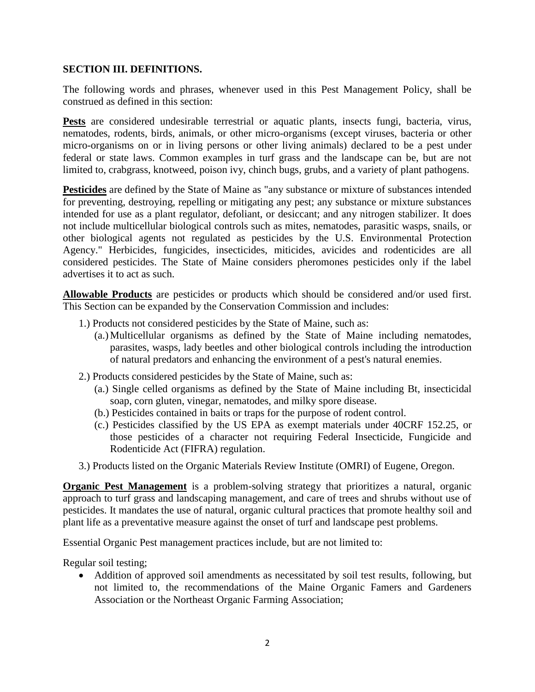#### **SECTION III. DEFINITIONS.**

The following words and phrases, whenever used in this Pest Management Policy, shall be construed as defined in this section:

**Pests** are considered undesirable terrestrial or aquatic plants, insects fungi, bacteria, virus, nematodes, rodents, birds, animals, or other micro-organisms (except viruses, bacteria or other micro-organisms on or in living persons or other living animals) declared to be a pest under federal or state laws. Common examples in turf grass and the landscape can be, but are not limited to, crabgrass, knotweed, poison ivy, chinch bugs, grubs, and a variety of plant pathogens.

**Pesticides** are defined by the State of Maine as "any substance or mixture of substances intended for preventing, destroying, repelling or mitigating any pest; any substance or mixture substances intended for use as a plant regulator, defoliant, or desiccant; and any nitrogen stabilizer. It does not include multicellular biological controls such as mites, nematodes, parasitic wasps, snails, or other biological agents not regulated as pesticides by the U.S. Environmental Protection Agency." Herbicides, fungicides, insecticides, miticides, avicides and rodenticides are all considered pesticides. The State of Maine considers pheromones pesticides only if the label advertises it to act as such.

**Allowable Products** are pesticides or products which should be considered and/or used first. This Section can be expanded by the Conservation Commission and includes:

- 1.) Products not considered pesticides by the State of Maine, such as:
	- (a.)Multicellular organisms as defined by the State of Maine including nematodes, parasites, wasps, lady beetles and other biological controls including the introduction of natural predators and enhancing the environment of a pest's natural enemies.
- 2.) Products considered pesticides by the State of Maine, such as:
	- (a.) Single celled organisms as defined by the State of Maine including Bt, insecticidal soap, corn gluten, vinegar, nematodes, and milky spore disease.
	- (b.) Pesticides contained in baits or traps for the purpose of rodent control.
	- (c.) Pesticides classified by the US EPA as exempt materials under 40CRF 152.25, or those pesticides of a character not requiring Federal Insecticide, Fungicide and Rodenticide Act (FIFRA) regulation.
- 3.) Products listed on the Organic Materials Review Institute (OMRI) of Eugene, Oregon.

**Organic Pest Management** is a problem-solving strategy that prioritizes a natural, organic approach to turf grass and landscaping management, and care of trees and shrubs without use of pesticides. It mandates the use of natural, organic cultural practices that promote healthy soil and plant life as a preventative measure against the onset of turf and landscape pest problems.

Essential Organic Pest management practices include, but are not limited to:

Regular soil testing;

• Addition of approved soil amendments as necessitated by soil test results, following, but not limited to, the recommendations of the Maine Organic Famers and Gardeners Association or the Northeast Organic Farming Association;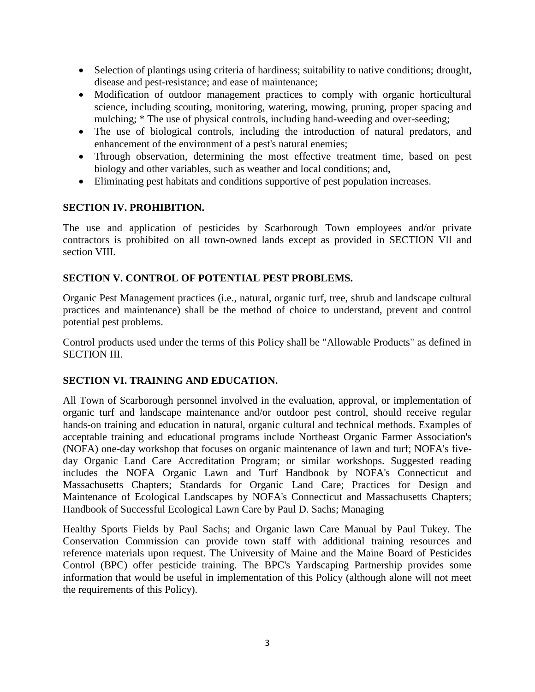- Selection of plantings using criteria of hardiness; suitability to native conditions; drought, disease and pest-resistance; and ease of maintenance;
- Modification of outdoor management practices to comply with organic horticultural science, including scouting, monitoring, watering, mowing, pruning, proper spacing and mulching; \* The use of physical controls, including hand-weeding and over-seeding;
- The use of biological controls, including the introduction of natural predators, and enhancement of the environment of a pest's natural enemies;
- Through observation, determining the most effective treatment time, based on pest biology and other variables, such as weather and local conditions; and,
- Eliminating pest habitats and conditions supportive of pest population increases.

# **SECTION IV. PROHIBITION.**

The use and application of pesticides by Scarborough Town employees and/or private contractors is prohibited on all town-owned lands except as provided in SECTION Vll and section VIII.

# **SECTION V. CONTROL OF POTENTIAL PEST PROBLEMS.**

Organic Pest Management practices (i.e., natural, organic turf, tree, shrub and landscape cultural practices and maintenance) shall be the method of choice to understand, prevent and control potential pest problems.

Control products used under the terms of this Policy shall be "Allowable Products" as defined in SECTION III.

# **SECTION VI. TRAINING AND EDUCATION.**

All Town of Scarborough personnel involved in the evaluation, approval, or implementation of organic turf and landscape maintenance and/or outdoor pest control, should receive regular hands-on training and education in natural, organic cultural and technical methods. Examples of acceptable training and educational programs include Northeast Organic Farmer Association's (NOFA) one-day workshop that focuses on organic maintenance of lawn and turf; NOFA's fiveday Organic Land Care Accreditation Program; or similar workshops. Suggested reading includes the NOFA Organic Lawn and Turf Handbook by NOFA's Connecticut and Massachusetts Chapters; Standards for Organic Land Care; Practices for Design and Maintenance of Ecological Landscapes by NOFA's Connecticut and Massachusetts Chapters; Handbook of Successful Ecological Lawn Care by Paul D. Sachs; Managing

Healthy Sports Fields by Paul Sachs; and Organic lawn Care Manual by Paul Tukey. The Conservation Commission can provide town staff with additional training resources and reference materials upon request. The University of Maine and the Maine Board of Pesticides Control (BPC) offer pesticide training. The BPC's Yardscaping Partnership provides some information that would be useful in implementation of this Policy (although alone will not meet the requirements of this Policy).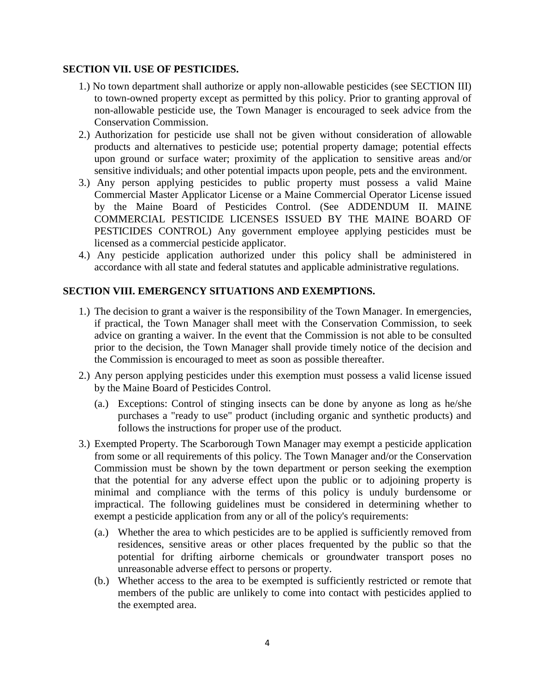#### **SECTION VII. USE OF PESTICIDES.**

- 1.) No town department shall authorize or apply non-allowable pesticides (see SECTION III) to town-owned property except as permitted by this policy. Prior to granting approval of non-allowable pesticide use, the Town Manager is encouraged to seek advice from the Conservation Commission.
- 2.) Authorization for pesticide use shall not be given without consideration of allowable products and alternatives to pesticide use; potential property damage; potential effects upon ground or surface water; proximity of the application to sensitive areas and/or sensitive individuals; and other potential impacts upon people, pets and the environment.
- 3.) Any person applying pesticides to public property must possess a valid Maine Commercial Master Applicator License or a Maine Commercial Operator License issued by the Maine Board of Pesticides Control. (See ADDENDUM II. MAINE COMMERCIAL PESTICIDE LICENSES ISSUED BY THE MAINE BOARD OF PESTICIDES CONTROL) Any government employee applying pesticides must be licensed as a commercial pesticide applicator.
- 4.) Any pesticide application authorized under this policy shall be administered in accordance with all state and federal statutes and applicable administrative regulations.

# **SECTION VIII. EMERGENCY SITUATIONS AND EXEMPTIONS.**

- 1.) The decision to grant a waiver is the responsibility of the Town Manager. In emergencies, if practical, the Town Manager shall meet with the Conservation Commission, to seek advice on granting a waiver. In the event that the Commission is not able to be consulted prior to the decision, the Town Manager shall provide timely notice of the decision and the Commission is encouraged to meet as soon as possible thereafter.
- 2.) Any person applying pesticides under this exemption must possess a valid license issued by the Maine Board of Pesticides Control.
	- (a.) Exceptions: Control of stinging insects can be done by anyone as long as he/she purchases a "ready to use" product (including organic and synthetic products) and follows the instructions for proper use of the product.
- 3.) Exempted Property. The Scarborough Town Manager may exempt a pesticide application from some or all requirements of this policy. The Town Manager and/or the Conservation Commission must be shown by the town department or person seeking the exemption that the potential for any adverse effect upon the public or to adjoining property is minimal and compliance with the terms of this policy is unduly burdensome or impractical. The following guidelines must be considered in determining whether to exempt a pesticide application from any or all of the policy's requirements:
	- (a.) Whether the area to which pesticides are to be applied is sufficiently removed from residences, sensitive areas or other places frequented by the public so that the potential for drifting airborne chemicals or groundwater transport poses no unreasonable adverse effect to persons or property.
	- (b.) Whether access to the area to be exempted is sufficiently restricted or remote that members of the public are unlikely to come into contact with pesticides applied to the exempted area.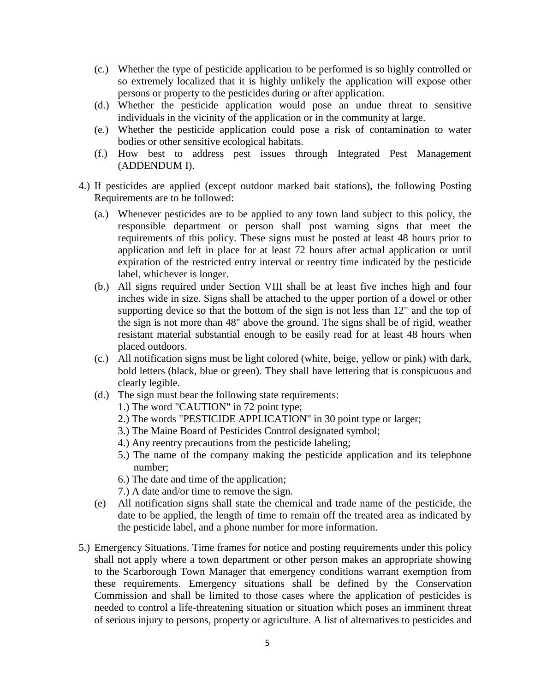- (c.) Whether the type of pesticide application to be performed is so highly controlled or so extremely localized that it is highly unlikely the application will expose other persons or property to the pesticides during or after application.
- (d.) Whether the pesticide application would pose an undue threat to sensitive individuals in the vicinity of the application or in the community at large.
- (e.) Whether the pesticide application could pose a risk of contamination to water bodies or other sensitive ecological habitats.
- (f.) How best to address pest issues through Integrated Pest Management (ADDENDUM I).
- 4.) If pesticides are applied (except outdoor marked bait stations), the following Posting Requirements are to be followed:
	- (a.) Whenever pesticides are to be applied to any town land subject to this policy, the responsible department or person shall post warning signs that meet the requirements of this policy. These signs must be posted at least 48 hours prior to application and left in place for at least 72 hours after actual application or until expiration of the restricted entry interval or reentry time indicated by the pesticide label, whichever is longer.
	- (b.) All signs required under Section VIII shall be at least five inches high and four inches wide in size. Signs shall be attached to the upper portion of a dowel or other supporting device so that the bottom of the sign is not less than 12" and the top of the sign is not more than 48" above the ground. The signs shall be of rigid, weather resistant material substantial enough to be easily read for at least 48 hours when placed outdoors.
	- (c.) All notification signs must be light colored (white, beige, yellow or pink) with dark, bold letters (black, blue or green). They shall have lettering that is conspicuous and clearly legible.
	- (d.) The sign must bear the following state requirements:
		- 1.) The word "CAUTION" in 72 point type;
		- 2.) The words "PESTICIDE APPLICATION" in 30 point type or larger;
		- 3.) The Maine Board of Pesticides Control designated symbol;
		- 4.) Any reentry precautions from the pesticide labeling;
		- 5.) The name of the company making the pesticide application and its telephone number;
		- 6.) The date and time of the application;
		- 7.) A date and/or time to remove the sign.
	- (e) All notification signs shall state the chemical and trade name of the pesticide, the date to be applied, the length of time to remain off the treated area as indicated by the pesticide label, and a phone number for more information.
- 5.) Emergency Situations. Time frames for notice and posting requirements under this policy shall not apply where a town department or other person makes an appropriate showing to the Scarborough Town Manager that emergency conditions warrant exemption from these requirements. Emergency situations shall be defined by the Conservation Commission and shall be limited to those cases where the application of pesticides is needed to control a life-threatening situation or situation which poses an imminent threat of serious injury to persons, property or agriculture. A list of alternatives to pesticides and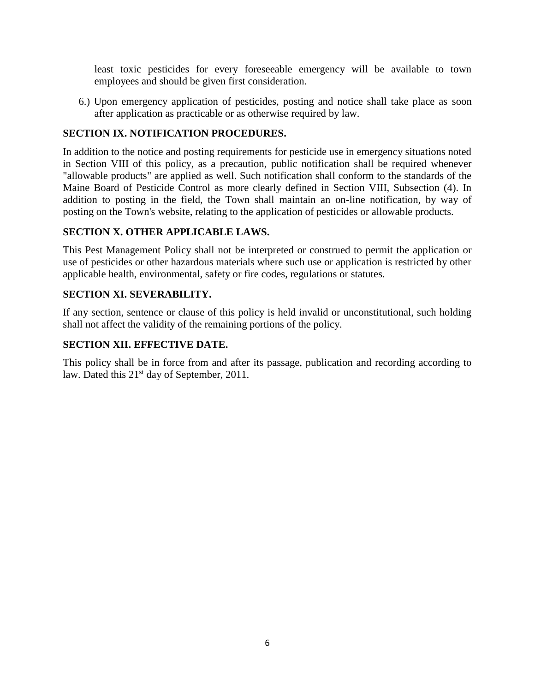least toxic pesticides for every foreseeable emergency will be available to town employees and should be given first consideration.

6.) Upon emergency application of pesticides, posting and notice shall take place as soon after application as practicable or as otherwise required by law.

#### **SECTION IX. NOTIFICATION PROCEDURES.**

In addition to the notice and posting requirements for pesticide use in emergency situations noted in Section VIII of this policy, as a precaution, public notification shall be required whenever "allowable products" are applied as well. Such notification shall conform to the standards of the Maine Board of Pesticide Control as more clearly defined in Section VIII, Subsection (4). In addition to posting in the field, the Town shall maintain an on-line notification, by way of posting on the Town's website, relating to the application of pesticides or allowable products.

#### **SECTION X. OTHER APPLICABLE LAWS.**

This Pest Management Policy shall not be interpreted or construed to permit the application or use of pesticides or other hazardous materials where such use or application is restricted by other applicable health, environmental, safety or fire codes, regulations or statutes.

#### **SECTION XI. SEVERABILITY.**

If any section, sentence or clause of this policy is held invalid or unconstitutional, such holding shall not affect the validity of the remaining portions of the policy.

## **SECTION XII. EFFECTIVE DATE.**

This policy shall be in force from and after its passage, publication and recording according to law. Dated this 21<sup>st</sup> day of September, 2011.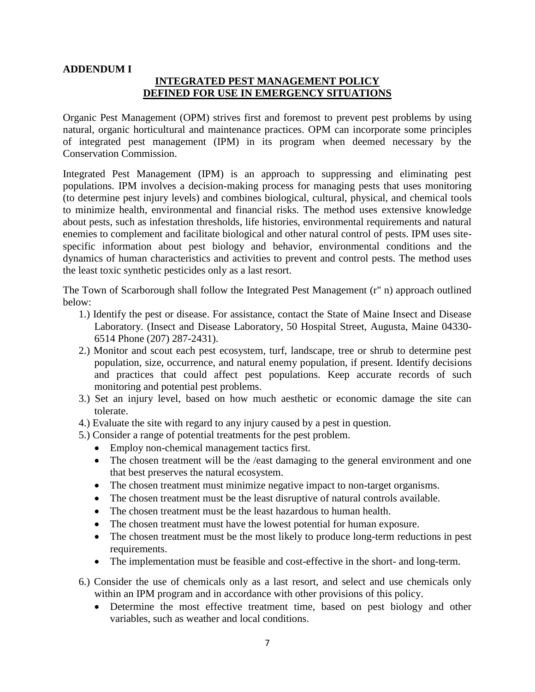#### **ADDENDUM I**

# **INTEGRATED PEST MANAGEMENT POLICY DEFINED FOR USE IN EMERGENCY SITUATIONS**

Organic Pest Management (OPM) strives first and foremost to prevent pest problems by using natural, organic horticultural and maintenance practices. OPM can incorporate some principles of integrated pest management (IPM) in its program when deemed necessary by the Conservation Commission.

Integrated Pest Management (IPM) is an approach to suppressing and eliminating pest populations. IPM involves a decision-making process for managing pests that uses monitoring (to determine pest injury levels) and combines biological, cultural, physical, and chemical tools to minimize health, environmental and financial risks. The method uses extensive knowledge about pests, such as infestation thresholds, life histories, environmental requirements and natural enemies to complement and facilitate biological and other natural control of pests. IPM uses sitespecific information about pest biology and behavior, environmental conditions and the dynamics of human characteristics and activities to prevent and control pests. The method uses the least toxic synthetic pesticides only as a last resort.

The Town of Scarborough shall follow the Integrated Pest Management (r" n) approach outlined below:

- 1.) Identify the pest or disease. For assistance, contact the State of Maine Insect and Disease Laboratory. (Insect and Disease Laboratory, 50 Hospital Street, Augusta, Maine 04330- 6514 Phone (207) 287-2431).
- 2.) Monitor and scout each pest ecosystem, turf, landscape, tree or shrub to determine pest population, size, occurrence, and natural enemy population, if present. Identify decisions and practices that could affect pest populations. Keep accurate records of such monitoring and potential pest problems.
- 3.) Set an injury level, based on how much aesthetic or economic damage the site can tolerate.
- 4.) Evaluate the site with regard to any injury caused by a pest in question.
- 5.) Consider a range of potential treatments for the pest problem.
	- Employ non-chemical management tactics first.
	- The chosen treatment will be the /east damaging to the general environment and one that best preserves the natural ecosystem.
	- The chosen treatment must minimize negative impact to non-target organisms.
	- The chosen treatment must be the least disruptive of natural controls available.
	- The chosen treatment must be the least hazardous to human health.
	- The chosen treatment must have the lowest potential for human exposure.
	- The chosen treatment must be the most likely to produce long-term reductions in pest requirements.
	- The implementation must be feasible and cost-effective in the short- and long-term.
- 6.) Consider the use of chemicals only as a last resort, and select and use chemicals only within an IPM program and in accordance with other provisions of this policy.
	- Determine the most effective treatment time, based on pest biology and other variables, such as weather and local conditions.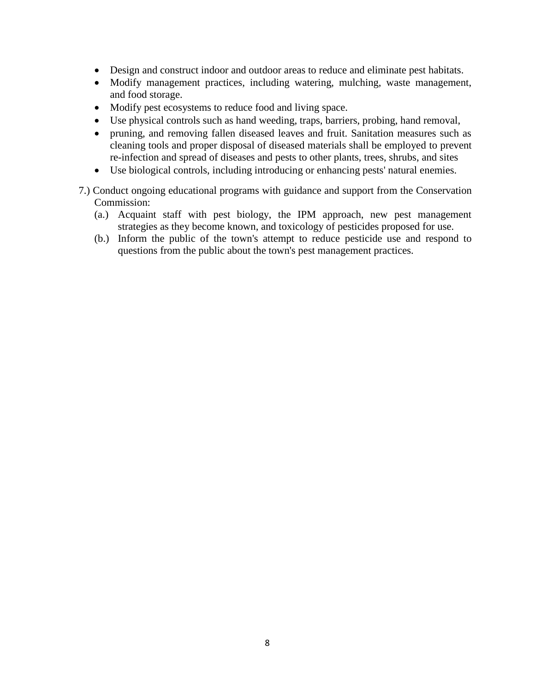- Design and construct indoor and outdoor areas to reduce and eliminate pest habitats.
- Modify management practices, including watering, mulching, waste management, and food storage.
- Modify pest ecosystems to reduce food and living space.
- Use physical controls such as hand weeding, traps, barriers, probing, hand removal,
- pruning, and removing fallen diseased leaves and fruit. Sanitation measures such as cleaning tools and proper disposal of diseased materials shall be employed to prevent re-infection and spread of diseases and pests to other plants, trees, shrubs, and sites
- Use biological controls, including introducing or enhancing pests' natural enemies.
- 7.) Conduct ongoing educational programs with guidance and support from the Conservation Commission:
	- (a.) Acquaint staff with pest biology, the IPM approach, new pest management strategies as they become known, and toxicology of pesticides proposed for use.
	- (b.) Inform the public of the town's attempt to reduce pesticide use and respond to questions from the public about the town's pest management practices.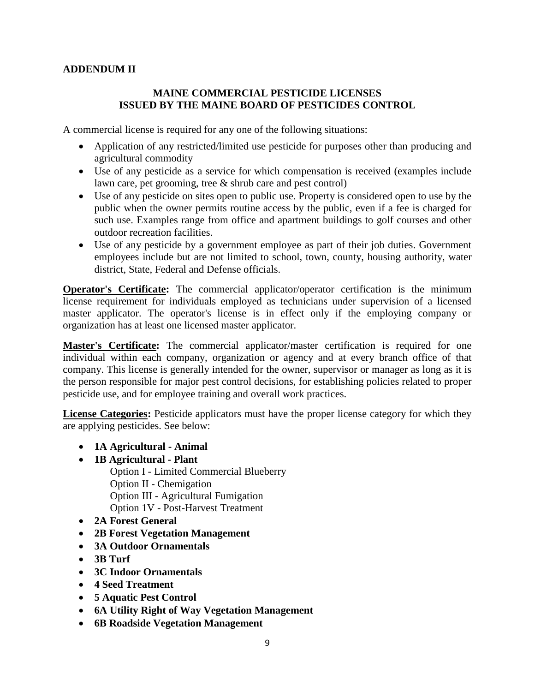# **ADDENDUM II**

#### **MAINE COMMERCIAL PESTICIDE LICENSES ISSUED BY THE MAINE BOARD OF PESTICIDES CONTROL**

A commercial license is required for any one of the following situations:

- Application of any restricted/limited use pesticide for purposes other than producing and agricultural commodity
- Use of any pesticide as a service for which compensation is received (examples include lawn care, pet grooming, tree & shrub care and pest control)
- Use of any pesticide on sites open to public use. Property is considered open to use by the public when the owner permits routine access by the public, even if a fee is charged for such use. Examples range from office and apartment buildings to golf courses and other outdoor recreation facilities.
- Use of any pesticide by a government employee as part of their job duties. Government employees include but are not limited to school, town, county, housing authority, water district, State, Federal and Defense officials.

**Operator's Certificate:** The commercial applicator/operator certification is the minimum license requirement for individuals employed as technicians under supervision of a licensed master applicator. The operator's license is in effect only if the employing company or organization has at least one licensed master applicator.

**Master's Certificate:** The commercial applicator/master certification is required for one individual within each company, organization or agency and at every branch office of that company. This license is generally intended for the owner, supervisor or manager as long as it is the person responsible for major pest control decisions, for establishing policies related to proper pesticide use, and for employee training and overall work practices.

**License Categories:** Pesticide applicators must have the proper license category for which they are applying pesticides. See below:

- **1A Agricultural - Animal**
- **1B Agricultural - Plant**

Option I - Limited Commercial Blueberry Option II - Chemigation Option III - Agricultural Fumigation Option 1V - Post-Harvest Treatment

- **2A Forest General**
- **2B Forest Vegetation Management**
- **3A Outdoor Ornamentals**
- **3B Turf**
- **3C Indoor Ornamentals**
- **4 Seed Treatment**
- **5 Aquatic Pest Control**
- **6A Utility Right of Way Vegetation Management**
- **6B Roadside Vegetation Management**